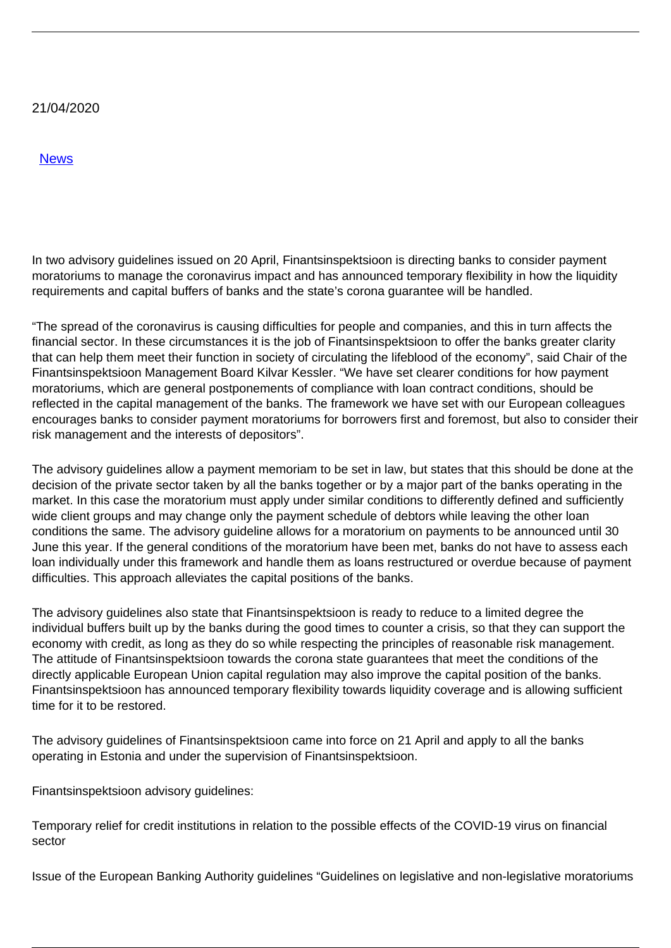## 21/04/2020

[News](/en/news/news)

In two advisory guidelines issued on 20 April, Finantsinspektsioon is directing banks to consider payment moratoriums to manage the coronavirus impact and has announced temporary flexibility in how the liquidity requirements and capital buffers of banks and the state's corona guarantee will be handled.

"The spread of the coronavirus is causing difficulties for people and companies, and this in turn affects the financial sector. In these circumstances it is the job of Finantsinspektsioon to offer the banks greater clarity that can help them meet their function in society of circulating the lifeblood of the economy", said Chair of the Finantsinspektsioon Management Board Kilvar Kessler. "We have set clearer conditions for how payment moratoriums, which are general postponements of compliance with loan contract conditions, should be reflected in the capital management of the banks. The framework we have set with our European colleagues encourages banks to consider payment moratoriums for borrowers first and foremost, but also to consider their risk management and the interests of depositors".

The advisory guidelines allow a payment memoriam to be set in law, but states that this should be done at the decision of the private sector taken by all the banks together or by a major part of the banks operating in the market. In this case the moratorium must apply under similar conditions to differently defined and sufficiently wide client groups and may change only the payment schedule of debtors while leaving the other loan conditions the same. The advisory guideline allows for a moratorium on payments to be announced until 30 June this year. If the general conditions of the moratorium have been met, banks do not have to assess each loan individually under this framework and handle them as loans restructured or overdue because of payment difficulties. This approach alleviates the capital positions of the banks.

The advisory guidelines also state that Finantsinspektsioon is ready to reduce to a limited degree the individual buffers built up by the banks during the good times to counter a crisis, so that they can support the economy with credit, as long as they do so while respecting the principles of reasonable risk management. The attitude of Finantsinspektsioon towards the corona state guarantees that meet the conditions of the directly applicable European Union capital regulation may also improve the capital position of the banks. Finantsinspektsioon has announced temporary flexibility towards liquidity coverage and is allowing sufficient time for it to be restored.

The advisory guidelines of Finantsinspektsioon came into force on 21 April and apply to all the banks operating in Estonia and under the supervision of Finantsinspektsioon.

Finantsinspektsioon advisory guidelines:

Temporary relief for credit institutions in relation to the possible effects of the COVID-19 virus on financial sector

Issue of the European Banking Authority guidelines "Guidelines on legislative and non-legislative moratoriums